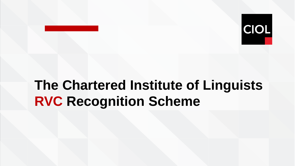

# **The Chartered Institute of Linguists RVC Recognition Scheme**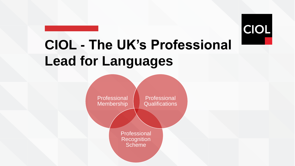

# **CIOL - The UK's Professional Lead for Languages**

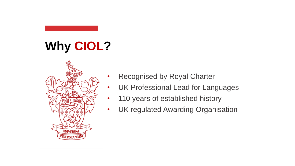# **Why CIOL?**



- Recognised by Royal Charter
- UK Professional Lead for Languages
- 110 years of established history
- UK regulated Awarding Organisation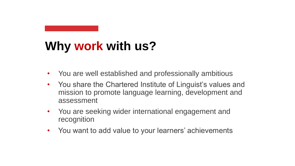## **Why work with us?**

- You are well established and professionally ambitious
- You share the Chartered Institute of Linguist's values and mission to promote language learning, development and assessment
- You are seeking wider international engagement and recognition
- You want to add value to your learners' achievements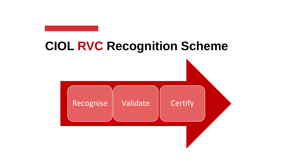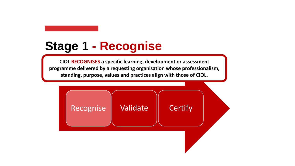### **Stage 1 - Recognise**

**CIOL RECOGNISES a specific learning, development or assessment programme delivered by a requesting organisation whose professionalism, standing, purpose, values and practices align with those of CIOL.**

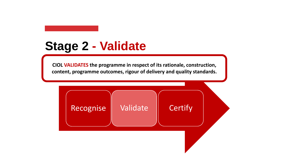### **Stage 2 - Validate**

**CIOL VALIDATES the programme in respect of its rationale, construction, content, programme outcomes, rigour of delivery and quality standards.**

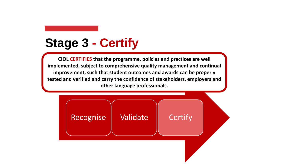### **Stage 3 - Certify**

**CIOL CERTIFIES that the programme, policies and practices are well implemented, subject to comprehensive quality management and continual improvement, such that student outcomes and awards can be properly tested and verified and carry the confidence of stakeholders, employers and other language professionals.**

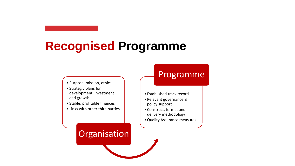### **Recognised Programme**

- Purpose, mission, ethics
- Strategic plans for development, investment and growth
- Stable, profitable finances
- Links with other third parties

#### Programme

- Established track record
- Relevant governance & policy support
- Construct, format and delivery methodology
- •Quality Assurance measures

#### **Organisation**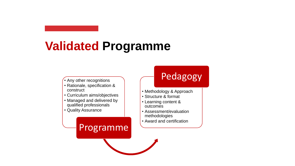### **Validated Programme**

- Any other recognitions
- Rationale, specification & construct
- Curriculum aims/objectives
- Managed and delivered by qualified professionals

Programme

• Quality Assurance

### Pedagogy

- Methodology & Approach
- Structure & format
- Learning content & outcomes
- Assessment/evaluation methodologies
- Award and certification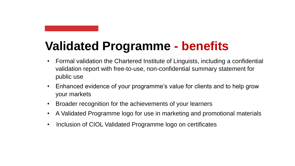## **Validated Programme - benefits**

- Formal validation the Chartered Institute of Linguists, including a confidential validation report with free-to-use, non-confidential summary statement for public use
- Enhanced evidence of your programme's value for clients and to help grow your markets
- Broader recognition for the achievements of your learners
- A Validated Programme logo for use in marketing and promotional materials
- Inclusion of CIOL Validated Programme logo on certificates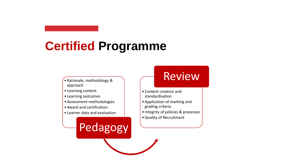### **Certified Programme**

- Rationale, methodology & approach
- Learning content
- Learning outcomes
- Assessment methodologies
- Award and certification
- Learner data and evaluation

Pedagogy

### Review

- Content creation and standardisation
- Application of marking and grading criteria
- Integrity of policies & processes
- •Quality of Recruitment